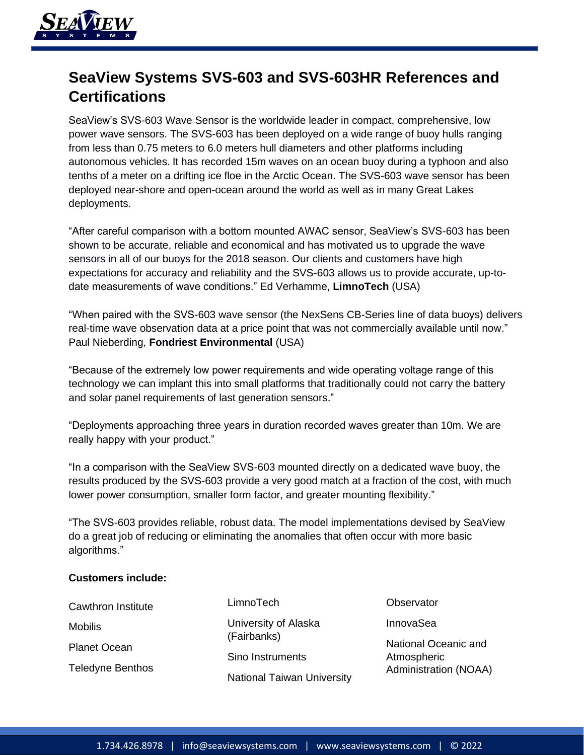

# **SeaView Systems SVS-603 and SVS-603HR References and Certifications**

SeaView's SVS-603 Wave Sensor is the worldwide leader in compact, comprehensive, low power wave sensors. The SVS-603 has been deployed on a wide range of buoy hulls ranging from less than 0.75 meters to 6.0 meters hull diameters and other platforms including autonomous vehicles. It has recorded 15m waves on an ocean buoy during a typhoon and also tenths of a meter on a drifting ice floe in the Arctic Ocean. The SVS-603 wave sensor has been deployed near-shore and open-ocean around the world as well as in many Great Lakes deployments.

"After careful comparison with a bottom mounted AWAC sensor, SeaView's SVS-603 has been shown to be accurate, reliable and economical and has motivated us to upgrade the wave sensors in all of our buoys for the 2018 season. Our clients and customers have high expectations for accuracy and reliability and the SVS-603 allows us to provide accurate, up-todate measurements of wave conditions." Ed Verhamme, **LimnoTech** (USA)

"When paired with the SVS-603 wave sensor (the NexSens CB-Series line of data buoys) delivers real-time wave observation data at a price point that was not commercially available until now." Paul Nieberding, **Fondriest Environmental** (USA)

"Because of the extremely low power requirements and wide operating voltage range of this technology we can implant this into small platforms that traditionally could not carry the battery and solar panel requirements of last generation sensors."

"Deployments approaching three years in duration recorded waves greater than 10m. We are really happy with your product."

"In a comparison with the SeaView SVS-603 mounted directly on a dedicated wave buoy, the results produced by the SVS-603 provide a very good match at a fraction of the cost, with much lower power consumption, smaller form factor, and greater mounting flexibility."

"The SVS-603 provides reliable, robust data. The model implementations devised by SeaView do a great job of reducing or eliminating the anomalies that often occur with more basic algorithms."

# **Customers include:**

| Cawthron Institute      | LimnoTech                           | Observator                                                          |
|-------------------------|-------------------------------------|---------------------------------------------------------------------|
| Mobilis                 | University of Alaska<br>(Fairbanks) | InnovaSea                                                           |
| <b>Planet Ocean</b>     |                                     | National Oceanic and<br>Atmospheric<br><b>Administration (NOAA)</b> |
| <b>Teledyne Benthos</b> | Sino Instruments                    |                                                                     |
|                         | <b>National Taiwan University</b>   |                                                                     |